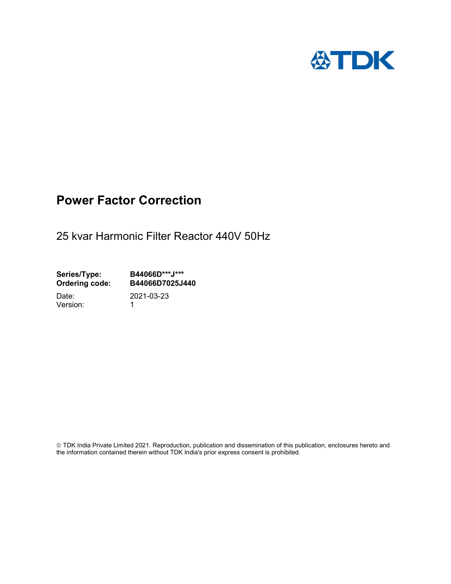

## Power Factor Correction

25 kvar Harmonic Filter Reactor 440V 50Hz

Series/Type: B44066D\*\*\*J\*\*\*<br>Ordering code: B44066D7025J4 B44066D7025J440

Version: 1

Date: 2021-03-23

 TDK India Private Limited 2021. Reproduction, publication and dissemination of this publication, enclosures hereto and the information contained therein without TDK India's prior express consent is prohibited.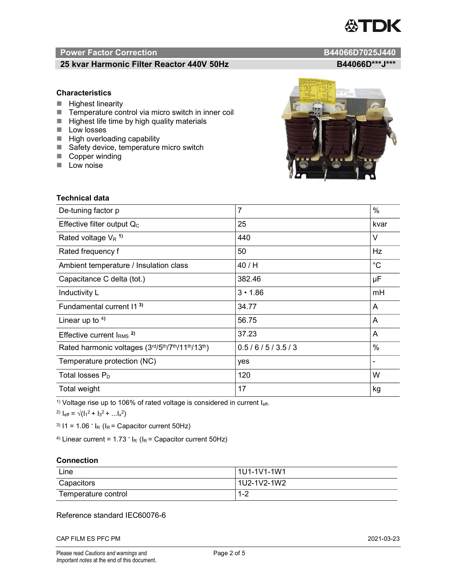# TDK

### Power Factor Correction and B44066D7025J440

#### 25 kvar Harmonic Filter Reactor 440V 50Hz B44066D\*\*\*J\*\*\*

#### **Characteristics**

- $\blacksquare$  Highest linearity
- Temperature control via micro switch in inner coil
- $\blacksquare$  Highest life time by high quality materials
- **Low** losses
- $\blacksquare$  High overloading capability
- Safety device, temperature micro switch
- Copper winding
- **Low noise**

| <b>Technical data</b>                           |                |             |  |
|-------------------------------------------------|----------------|-------------|--|
| De-tuning factor p                              | $\overline{7}$ | $\%$        |  |
| Effective filter output $Q_C$                   | 25             | kvar        |  |
| Rated voltage $V_R$ <sup>1)</sup>               | 440            | $\vee$      |  |
| Rated frequency f                               | 50             | Hz          |  |
| Ambient temperature / Insulation class          | 40 / H         | $^{\circ}C$ |  |
| Capacitance C delta (tot.)                      | 382.46         | μF          |  |
| Inductivity L                                   | $3 \cdot 1.86$ | mH          |  |
| Fundamental current 11 <sup>3)</sup>            | 34.77          | A           |  |
| Linear up to $4$ )                              | 56.75          | A           |  |
| Effective current $IRMS$ <sup>2)</sup>          | 37.23          | A           |  |
| Rated harmonic voltages (3rd/5th/7th/11th/13th) | 0.5/6/5/3.5/3  | $\%$        |  |
| Temperature protection (NC)                     | yes            |             |  |
| Total losses $P_D$                              | 120            | W           |  |
| Total weight                                    | 17             | kg          |  |

<sup>1)</sup> Voltage rise up to 106% of rated voltage is considered in current  $I_{\text{eff}}$ .

<sup>2)</sup>  $I_{eff} = \sqrt{(I_1^2 + I_3^2 + ... I_x^2)}$ 

<sup>3)</sup>  $11 = 1.06$   $\cdot$   $I_R$  ( $I_R$  = Capacitor current 50Hz)

<sup>4)</sup> Linear current =  $1.73$   $\cdot$  I<sub>R</sub> (I<sub>R</sub> = Capacitor current 50Hz)

#### **Connection**

| Line                | l 1U1-1V1-1W1 |
|---------------------|---------------|
| Capacitors          | l 1U2-1V2-1W2 |
| Temperature control | 1 O<br>ے- ا   |

#### Reference standard IEC60076-6

CAP FILM ES PFC PM 2021-03-23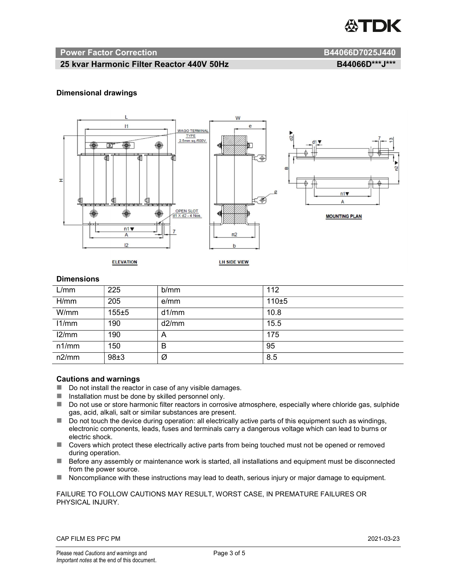

#### Power Factor Correction and B44066D7025J440

#### 25 kvar Harmonic Filter Reactor 440V 50Hz B44066D\*\*\*J\*\*\*

#### Dimensional drawings



#### **Dimensions**

| L/mm  | 225   | b/mm  | 112   |
|-------|-------|-------|-------|
| H/mm  | 205   | e/mm  | 110±5 |
| W/mm  | 155±5 | d1/mm | 10.8  |
| 11/mm | 190   | d2/mm | 15.5  |
| 12/mm | 190   | A     | 175   |
| n1/mm | 150   | B     | 95    |
| n2/mm | 98±3  | Ø     | 8.5   |

#### Cautions and warnings

- Do not install the reactor in case of any visible damages.
- $\blacksquare$  Installation must be done by skilled personnel only.
- Do not use or store harmonic filter reactors in corrosive atmosphere, especially where chloride gas, sulphide gas, acid, alkali, salt or similar substances are present.
- $\Box$  Do not touch the device during operation: all electrically active parts of this equipment such as windings, electronic components, leads, fuses and terminals carry a dangerous voltage which can lead to burns or electric shock.
- Covers which protect these electrically active parts from being touched must not be opened or removed during operation.
- Before any assembly or maintenance work is started, all installations and equipment must be disconnected from the power source.
- Noncompliance with these instructions may lead to death, serious injury or major damage to equipment.

#### FAILURE TO FOLLOW CAUTIONS MAY RESULT, WORST CASE, IN PREMATURE FAILURES OR PHYSICAL INJURY.

#### CAP FILM ES PFC PM 2021-03-23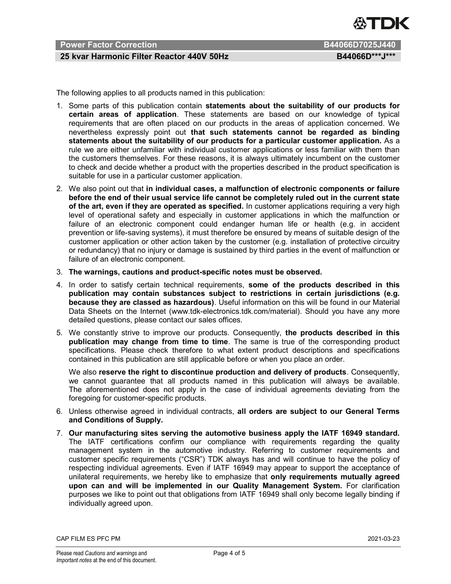

### Power Factor Correction **B44066D7025J440**

#### 25 kvar Harmonic Filter Reactor 440V 50Hz B44066D\*\*\*J\*\*\*

The following applies to all products named in this publication:

- 1. Some parts of this publication contain statements about the suitability of our products for certain areas of application. These statements are based on our knowledge of typical requirements that are often placed on our products in the areas of application concerned. We nevertheless expressly point out that such statements cannot be regarded as binding statements about the suitability of our products for a particular customer application. As a rule we are either unfamiliar with individual customer applications or less familiar with them than the customers themselves. For these reasons, it is always ultimately incumbent on the customer to check and decide whether a product with the properties described in the product specification is suitable for use in a particular customer application.
- 2. We also point out that in individual cases, a malfunction of electronic components or failure before the end of their usual service life cannot be completely ruled out in the current state of the art, even if they are operated as specified. In customer applications requiring a very high level of operational safety and especially in customer applications in which the malfunction or failure of an electronic component could endanger human life or health (e.g. in accident prevention or life-saving systems), it must therefore be ensured by means of suitable design of the customer application or other action taken by the customer (e.g. installation of protective circuitry or redundancy) that no injury or damage is sustained by third parties in the event of malfunction or failure of an electronic component.
- 3. The warnings, cautions and product-specific notes must be observed.
- 4. In order to satisfy certain technical requirements, some of the products described in this publication may contain substances subject to restrictions in certain jurisdictions (e.g. because they are classed as hazardous). Useful information on this will be found in our Material Data Sheets on the Internet (www.tdk-electronics.tdk.com/material). Should you have any more detailed questions, please contact our sales offices.
- 5. We constantly strive to improve our products. Consequently, the products described in this publication may change from time to time. The same is true of the corresponding product specifications. Please check therefore to what extent product descriptions and specifications contained in this publication are still applicable before or when you place an order.

We also reserve the right to discontinue production and delivery of products. Consequently, we cannot guarantee that all products named in this publication will always be available. The aforementioned does not apply in the case of individual agreements deviating from the foregoing for customer-specific products.

- 6. Unless otherwise agreed in individual contracts, all orders are subject to our General Terms and Conditions of Supply.
- 7. Our manufacturing sites serving the automotive business apply the IATF 16949 standard. The IATF certifications confirm our compliance with requirements regarding the quality management system in the automotive industry. Referring to customer requirements and customer specific requirements ("CSR") TDK always has and will continue to have the policy of respecting individual agreements. Even if IATF 16949 may appear to support the acceptance of unilateral requirements, we hereby like to emphasize that only requirements mutually agreed upon can and will be implemented in our Quality Management System. For clarification purposes we like to point out that obligations from IATF 16949 shall only become legally binding if individually agreed upon.